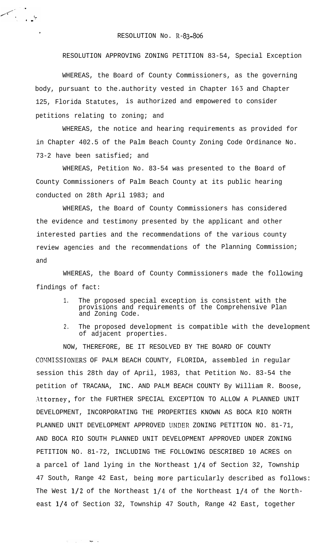## RESOLUTION No. R-83-806

RESOLUTION APPROVING ZONING PETITION 83-54, Special Exception

WHEREAS, the Board of County Commissioners, as the governing body, pursuant to the.authority vested in Chapter 163 and Chapter 125, Florida Statutes, is authorized and empowered to consider petitions relating to zoning; and

WHEREAS, the notice and hearing requirements as provided for in Chapter 402.5 of the Palm Beach County Zoning Code Ordinance No. 73-2 have been satisfied; and

WHEREAS, Petition No. 83-54 was presented to the Board of County Commissioners of Palm Beach County at its public hearing conducted on 28th April 1983; and

WHEREAS, the Board of County Commissioners has considered the evidence and testimony presented by the applicant and other interested parties and the recommendations of the various county review agencies and the recommendations of the Planning Commission; and

WHEREAS, the Board of County Commissioners made the following findings of fact:

- 1. The proposed special exception is consistent with the provisions and requirements of the Comprehensive Plan and Zoning Code.
- 2. The proposed development is compatible with the development of adjacent properties.

NOW, THEREFORE, BE IT RESOLVED BY THE BOARD OF COUNTY COMMISSIONERS OF PALM BEACH COUNTY, FLORIDA, assembled in regular session this 28th day of April, 1983, that Petition No. 83-54 the petition of TRACANA, INC. AND PALM BEACH COUNTY By William R. Boose, Attorney, for the FURTHER SPECIAL EXCEPTION TO ALLOW A PLANNED UNIT DEVELOPMENT, INCORPORATING THE PROPERTIES KNOWN AS BOCA RIO NORTH PLANNED UNIT DEVELOPMENT APPROVED IJNDER ZONING PETITION NO. 81-71, AND BOCA RIO SOUTH PLANNED UNIT DEVELOPMENT APPROVED UNDER ZONING PETITION NO. 81-72, INCLUDING THE FOLLOWING DESCRIBED 10 ACRES on a parcel of land lying in the Northeast l/4 of Section 32, Township 47 South, Range 42 East, being more particularly described as follows: The West  $1/2$  of the Northeast  $1/4$  of the Northeast  $1/4$  of the Northeast  $1/4$  of Section 32, Township 47 South, Range 42 East, together

 $\frac{1}{2}$  ,  $\frac{1}{2}$ 

Maria Alba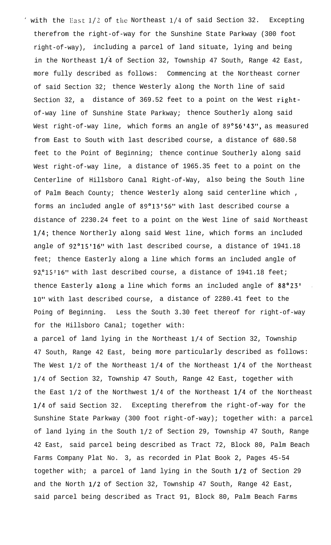' with the East  $1/2$  of the Northeast  $1/4$  of said Section 32. Excepting therefrom the right-of-way for the Sunshine State Parkway (300 foot right-of-way), including a parcel of land situate, lying and being in the Northeast l/4 of Section 32, Township 47 South, Range 42 East, more fully described as follows: Commencing at the Northeast corner of said Section 32; thence Westerly along the North line of said Section 32, a distance of 369.52 feet to a point on the West rightof-way line of Sunshine State Parkway; thence Southerly along said West right-of-way line, which forms an angle of  $89°56'43''$ , as measured from East to South with last described course, a distance of 680.58 feet to the Point of Beginning; thence continue Southerly along said West right-of-way line, a distance of 1965.35 feet to a point on the Centerline of Hillsboro Canal Right-of-Way, also being the South line of Palm Beach County; thence Westerly along said centerline which , forms an included angle of  $89^{\circ}13'56''$  with last described course a distance of 2230.24 feet to a point on the West line of said Northeast l/4; thence Northerly along said West line, which forms an included angle of 92°15'16" with last described course, a distance of 1941.18 feet; thence Easterly along a line which forms an included angle of  $92^{\circ}15'16''$  with last described course, a distance of 1941.18 feet; thence Easterly along a line which forms an included angle of 88°23' 10" with last described course, a distance of 2280.41 feet to the Poing of Beginning. Less the South 3.30 feet thereof for right-of-way for the Hillsboro Canal; together with:

a parcel of land lying in the Northeast l/4 of Section 32, Township 47 South, Range 42 East, being more particularly described as follows: The West  $1/2$  of the Northeast  $1/4$  of the Northeast  $1/4$  of the Northeast l/4 of Section 32, Township 47 South, Range 42 East, together with the East  $1/2$  of the Northwest  $1/4$  of the Northeast  $1/4$  of the Northeast l/4 of said Section 32. Excepting therefrom the right-of-way for the Sunshine State Parkway (300 foot right-of-way); together with: a parcel of land lying in the South l/2 of Section 29, Township 47 South, Range 42 East, said parcel being described as Tract 72, Block 80, Palm Beach Farms Company Plat No. 3, as recorded in Plat Book 2, Pages 45-54 together with; a parcel of land lying in the South 1/2 of Section 29 and the North l/2 of Section 32, Township 47 South, Range 42 East, said parcel being described as Tract 91, Block 80, Palm Beach Farms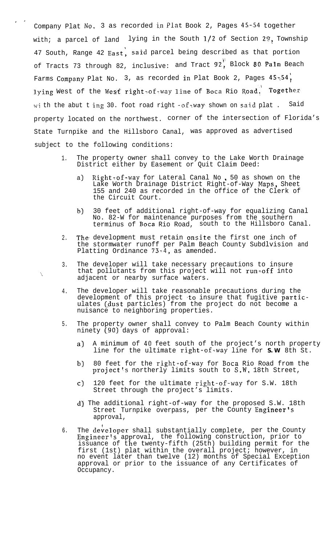Company Plat No. 3 as recorded in Plat Book 2, Pages 45-54 together with; a parcel of land lying in the South  $1/2$  of Section 29, Township 47 South, Range 42 East, said parcel being described as that portion of Tracts 73 through 82, inclusive: and Tract 92, Block 80 Palm Beach Farms Company Plat No. 3, as recorded in Plat Book 2, Pages  $45\times54$ , lying West of the West right=of=way line of Boca Rio Road. Together wi th the abut t ing 30. foot road right -of-way shown on said plat . Said property located on the northwest. corner of the intersection of Florida's State Turnpike and the Hillsboro Canal, was approved as advertised subject to the following conditions:

I '

 $\mathcal{L}_{\mathcal{L}}$ 

- 1. The property owner shall convey to the Lake Worth Drainage District either by Easement or Quit Claim Deed:
	- a) Right=of-way for Lateral Canal No, 50 as shown on the Lake Worth Drainage District Right-of-Way Maps, Sheet 155 and 240 as recorded in the office of the Clerk of the Circuit Court.
	- b) 30 feet of additional right-of-way for equalizing Canal No. 82-W for maintenance purposes from the southern terminus of Boca Rio Road, south to the Hillsboro Canal.
- 2. The. development must retain onsite the first one inch of the stormwater runoff per Palm Beach County Subdlvision and Platting Ordinance  $73-4$ , as amended.
- 3. The developer will take necessary precautions to insure that pollutants from this project will not  $run \cdot off$  into adjacent or nearby surface waters.
- 4. The developer will take reasonable precautions during the development of this project  $\mathsf{to}$  insure that fugitive  $\mathsf{partic} \cdot$ ulates (dust particles) from the project do not become a nuisance to neighboring properties.
- 5. The property owner shall convey to Palm Beach County within ninety (90) days of approval:
	- a) A minimum of 40 feet south of the project's north property line for the ultimate right-of-way line for **S.W** 8th St.
	- b) 80 feet for the right-of-way for B<mark>oca</mark> Rio Road from the  $project's northerly limits south to S.W. 18th Street,$
	- c) 120 feet for the ultimate right-of-way for S.W. 18th Street through the project's limits.
	- d) The additional right-of-way for the proposed S.W. 18th Street Turnpike overpass, per the County Engineer's approval,
- 6. The developer shall substantially complete, per the County Engineer's approval, the following construction, prior to issuance of the twenty-fifth (25th) building permit for the first (1st) plat within the overall project; however, in no event later than twelve (12) months of Special Exception approval or prior to the issuance of any Certificates of Occupancy.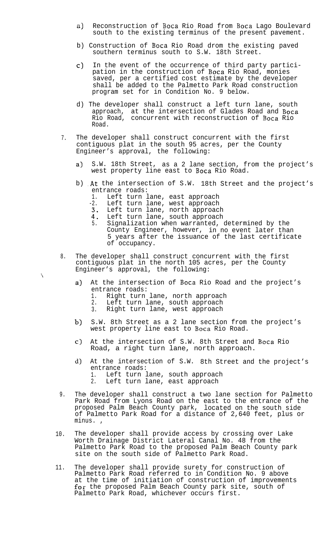- a) Reconstruction of Boca Rio Road from Boca Lago Boulevard south to the existing terminus of the present pavement.
- b) Construction of Boca Rio Road drom the existing paved southern terminus south to S.W. 18th Street.
- c) In the event of the occurrence of third party participation in the construction of Boca Rio Road, monies saved, per a certified cost estimate by the developer shall be added to the Palmetto Park Road construction program set for in Condition No. 9 below.
- d) The developer shall construct a left turn lane, south approach, at the intersection of Glades Road and Boca Rio Road, concurrent with reconstruction of B**oca** Rio Road.
- 7. The developer shall construct concurrent with the first contiguous plat in the south 95 acres, per the County Engineer's approval, the following:
	- a) S.W. 18th Street, as a 2 lane section, from the project's west property line east to Boca Rio Road.
	- b) At the intersection of S.W. 18th Street and the project's entrance roads:
		- 1. Left turn lane, east approach
		- -2. Left turn lane, west approach
		- Left turn lane, north approach
		- 43: Left turn lane, south approach 5. Signalization when warranted, determined by the County Engineer, however, in no event later than 5 years after the issuance of the last certificate of occupancy.
- 8. The developer shall construct concurrent with the first contiguous plat in the north 105 acres, per the County Engineer's approval, the following:
	- a) At the intersection of Boca Rio Road and the project's entrance roads:
		- 1. Right turn lane, north approach

 $\lambda$ 

- 2. Left turn lane, south approach<br>3. Right turn lane, west approach
- Right turn lane, west approach
- $b)$ S.W. 8th Street as a 2 lane section from the project's west property line east to Boca Rio Road.
- c) At the intersection of S.W. 8th Street and Boca Rio Road, a right turn lane, north approach.
- d) At the intersection of S.W. 8th Street and the project's entrance roads: 1. Left turn lane, south approach<br>2. Left turn lane, east approach Left turn lane, east approach
- 9. The developer shall construct a two lane section for Palmetto Park Road from Lyons Road on the east to the entrance of the proposed Palm Beach County park, located on the south side of Palmetto Park Road for a distance of 2,640 feet, plus or minus. ,
- 10. The developer shall provide access by crossing over Lake Worth Drainage District Lateral Canal No. 48 from the Palmetto Park Road to the proposed Palm Beach County park site on the south side of Palmetto Park Road.
- 11. The developer shall provide surety for construction of Palmetto Park Road referred to in Condition No. 9 above at the time of initiation of construction of improvements for the proposed Palm Beach County park site, south of Palmetto Park Road, whichever occurs first.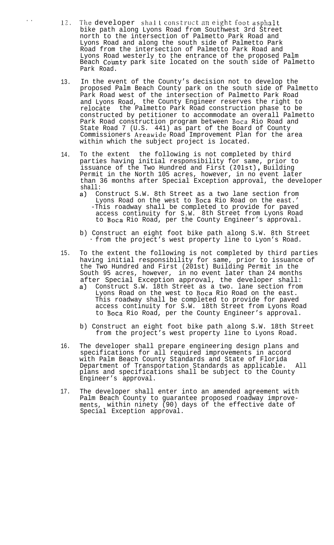- ... 12. The developer shall construct an eight foot asphalt bike path along Lyons Road from Southwest 3rd Street north to the intersection of Palmetto Park Road and Lyons Road and along the south side of Palmetto Park Road from the intersection of Palmetto Park Road and Lyons Road westerly to the entrance of the proposed Palm Beach **County** park site located on the south side of Palmetto Park Road.
	- 13. In the event of the County's decision not to develop the proposed Palm Beach County park on the south side of Palmetto Park Road west of the intersection of Palmetto Park Road and Lyons Road, the County Engineer reserves the right to relocate the Palmetto Park Road construction phase to be constructed by petitioner to accommodate an overall Palmetto Park Road construction program between Boca Rio Road and State Road 7 (U.S. 441) as part of the Board of County Commissioners Areawide Road Improvement Plan for the area within which the subject project is located.
	- 14. To the extent the following is not completed by third parties having initial responsibility for same, prior to issuance of the Two Hundred and First (201st), Building Permit in the North 105 acres, however, in no event later than 36 months after Special Exception approval, the developer shall:
		- a) Construct S.W. 8th Street as a two lane section from Lyons Road on the west to Boca Rio Road on the east.' -This roadway shall be completed to provide for paved access continuity for S.W. 8th Street from Lyons Road to Boca Rio Road, per the County Engineer's approval.
		- b) Construct an eight foot bike path along S.W. 8th Street from the project's west property line to Lyon's Road.
	- 15. To the extent the following is not completed by third parties having initial responsibility for same, prior to issuance of the Two Hundred and First (201st) Building Permit in the South 95 acres, however, in no event later than 24 months after Special Exception approval, the developer shall:
		- a) Construct S.W. 18th Street as a two. lane section from Lyons Road on the west to Boca Rio Road on the east. This roadway shall be completed to provide for paved access continuity for S.W. 18th Street from Lyons Road to Boca Rio Road, per the County Engineer's approval.
		- b) Construct an eight foot bike path along S.W. 18th Street from the project's west property line to Lyons Road.
	- 16. The developer shall prepare engineering design plans and specifications for all required improvements in accord with Palm Beach County Standards and State of Florida Department of Transportation Standards as applicable. All plans and specifications shall be subject to the County Engineer's approval.
	- 17. The developer shall enter into an amended agreement with Palm Beach County to guarantee proposed roadway improvements, within ninety (90) days of the effective date of Special Exception approval.